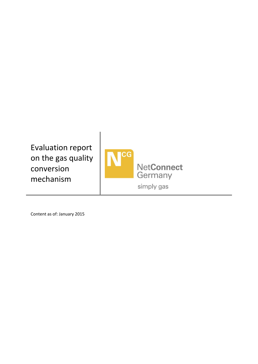Evaluation report on the gas quality conversion mechanism



Content as of: January 2015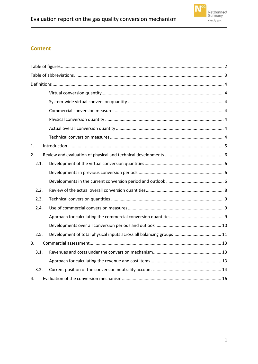# **Content**

| 1.             |  |  |  |
|----------------|--|--|--|
| 2.             |  |  |  |
| 2.1.           |  |  |  |
|                |  |  |  |
|                |  |  |  |
| 2.2.           |  |  |  |
| 2.3.           |  |  |  |
| 2.4.           |  |  |  |
|                |  |  |  |
|                |  |  |  |
| 2.5.           |  |  |  |
| 3 <sub>1</sub> |  |  |  |
| 3.1.           |  |  |  |
|                |  |  |  |
| 3.2.           |  |  |  |
| 4.             |  |  |  |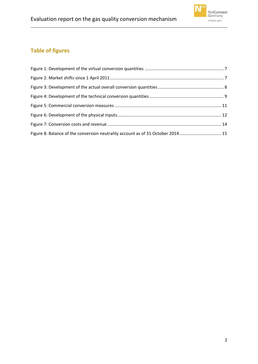

# <span id="page-2-0"></span>**Table of figures**

| Figure 8: Balance of the conversion neutrality account as of 31 October 2014 15 |  |
|---------------------------------------------------------------------------------|--|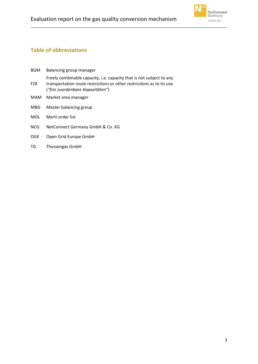

# <span id="page-3-0"></span>**Table of abbreviations**

| <b>BGM</b> | Balancing group manager                                                                                                                                                           |
|------------|-----------------------------------------------------------------------------------------------------------------------------------------------------------------------------------|
| <b>FZK</b> | Freely combinable capacity, i.e. capacity that is not subject to any<br>transportation route restrictions or other restrictions as to its use<br>("frei zuordenbare Kapazitäten") |
| MAM        | Market area manager                                                                                                                                                               |
| <b>MBG</b> | Master balancing group                                                                                                                                                            |
| <b>MOL</b> | Merit order list                                                                                                                                                                  |
| <b>NCG</b> | NetConnect Germany GmbH & Co. KG                                                                                                                                                  |
| <b>OGE</b> | Open Grid Europe GmbH                                                                                                                                                             |
| TG         | <b>Thyssengas GmbH</b>                                                                                                                                                            |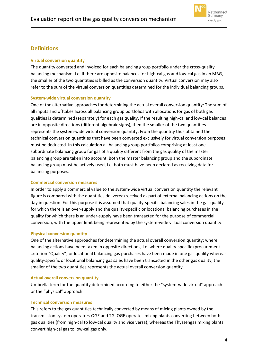

# <span id="page-4-0"></span>**Definitions**

### <span id="page-4-1"></span>**Virtual conversion quantity**

The quantity converted and invoiced for each balancing group portfolio under the cross-quality balancing mechanism, i.e. if there are opposite balances for high-cal gas and low-cal gas in an MBG, the smaller of the two quantities is billed as the conversion quantity. Virtual conversion may also refer to the sum of the virtual conversion quantities determined for the individual balancing groups.

### <span id="page-4-2"></span>**System-wide virtual conversion quantity**

One of the alternative approaches for determining the actual overall conversion quantity: The sum of all inputs and offtakes across all balancing group portfolios with allocations for gas of both gas qualities is determined (separately) for each gas quality. If the resulting high-cal and low-cal balances are in opposite directions (different algebraic signs), then the smaller of the two quantities represents the system-wide virtual conversion quantity. From the quantity thus obtained the technical conversion quantities that have been converted exclusively for virtual conversion purposes must be deducted. In this calculation all balancing group portfolios comprising at least one subordinate balancing group for gas of a quality different from the gas quality of the master balancing group are taken into account. Both the master balancing group and the subordinate balancing group must be actively used, i.e. both must have been declared as receiving data for balancing purposes.

#### <span id="page-4-3"></span>**Commercial conversion measures**

In order to apply a commercial value to the system-wide virtual conversion quantity the relevant figure is compared with the quantities delivered/received as part of external balancing actions on the day in question. For this purpose it is assumed that quality-specific balancing sales in the gas quality for which there is an over-supply and the quality-specific or locational balancing purchases in the quality for which there is an under-supply have been transacted for the purpose of commercial conversion, with the upper limit being represented by the system-wide virtual conversion quantity.

### <span id="page-4-4"></span>**Physical conversion quantity**

One of the alternative approaches for determining the actual overall conversion quantity: where balancing actions have been taken in opposite directions, i.e. where quality-specific (procurement criterion "Quality") or locational balancing gas purchases have been made in one gas quality whereas quality-specific or locational balancing gas sales have been transacted in the other gas quality, the smaller of the two quantities represents the actual overall conversion quantity.

### <span id="page-4-5"></span>**Actual overall conversion quantity**

Umbrella term for the quantity determined according to either the "system-wide virtual" approach or the "physical" approach.

### <span id="page-4-6"></span>**Technical conversion measures**

This refers to the gas quantities technically converted by means of mixing plants owned by the transmission system operators OGE and TG. OGE operates mixing plants converting between both gas qualities (from high-cal to low-cal quality and vice versa), whereas the Thyssengas mixing plants convert high-cal gas to low-cal gas only.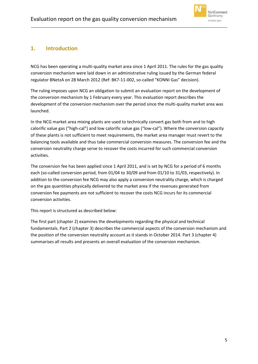

# <span id="page-5-0"></span>**1. Introduction**

NCG has been operating a multi-quality market area since 1 April 2011. The rules for the gas quality conversion mechanism were laid down in an administrative ruling issued by the German federal regulator BNetzA on 28 March 2012 (Ref: BK7-11-002, so-called "KONNI Gas" decision).

The ruling imposes upon NCG an obligation to submit an evaluation report on the development of the conversion mechanism by 1 February every year. This evaluation report describes the development of the conversion mechanism over the period since the multi-quality market area was launched.

In the NCG market area mixing plants are used to technically convert gas both from and to high calorific value gas ("high-cal") and low calorific value gas ("low-cal"). Where the conversion capacity of these plants is not sufficient to meet requirements, the market area manager must revert to the balancing tools available and thus take commercial conversion measures. The conversion fee and the conversion neutrality charge serve to recover the costs incurred for such commercial conversion activities.

The conversion fee has been applied since 1 April 2011, and is set by NCG for a period of 6 months each (so-called conversion period, from 01/04 to 30/09 and from 01/10 to 31/03, respectively). In addition to the conversion fee NCG may also apply a conversion neutrality charge, which is charged on the gas quantities physically delivered to the market area if the revenues generated from conversion fee payments are not sufficient to recover the costs NCG incurs for its commercial conversion activities.

This report is structured as described below:

The first part (chapte[r 2\)](#page-6-0) examines the developments regarding the physical and technical fundamentals. Part 2 (chapter [3\)](#page-13-0) describes the commercial aspects of the conversion mechanism and the position of the conversion neutrality account as it stands in October 2014. Part 3 (chapte[r 4\)](#page-16-0) summarises all results and presents an overall evaluation of the conversion mechanism.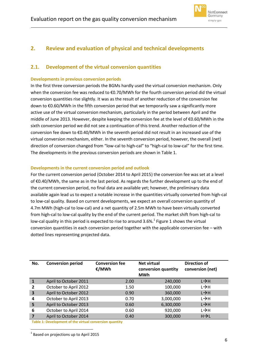

# <span id="page-6-0"></span>**2. Review and evaluation of physical and technical developments**

### <span id="page-6-1"></span>**2.1. Development of the virtual conversion quantities**

### <span id="page-6-2"></span>**Developments in previous conversion periods**

In the first three conversion periods the BGMs hardly used the virtual conversion mechanism. Only when the conversion fee was reduced to €0.70/MWh for the fourth conversion period did the virtual conversion quantities rise slightly. It was as the result of another reduction of the conversion fee down to €0.60/MWh in the fifth conversion period that we temporarily saw a significantly more active use of the virtual conversion mechanism, particularly in the period between April and the middle of June 2013. However, despite keeping the conversion fee at the level of €0.60/MWh in the sixth conversion period we did not see a continuation of this trend. Another reduction of the conversion fee down to €0.40/MWh in the seventh period did not result in an increased use of the virtual conversion mechanism, either. In the seventh conversion period, however, the overall (net) direction of conversion changed from "low-cal to high-cal" to "high-cal to low-cal" for the first time. The developments in the previous conversion periods are shown in [Table 1.](#page-6-4)

### <span id="page-6-3"></span>**Developments in the current conversion period and outlook**

For the current conversion period (October 2014 to April 2015) the conversion fee was set at a level of €0.40/MWh, the same as in the last period. As regards the further development up to the end of the current conversion period, no final data are available yet; however, the preliminary data available again lead us to expect a notable increase in the quantities virtually converted from high-cal to low-cal quality. Based on current developments, we expect an overall conversion quantity of 4.7m MWh (high-cal to low-cal) and a net quantity of 2.5m MWh to have been virtually converted from high-cal to low-cal quality by the end of the current period. The market shift from high-cal to low-cal quality in this period is expected to rise to around 3.6%.<sup>1</sup> [Figure 1](#page-7-0) shows the virtual conversion quantities in each conversion period together with the applicable conversion fee – with dotted lines representing projected data.

| No.            | <b>Conversion period</b> | <b>Conversion fee</b><br>€/MWh | <b>Net virtual</b><br>conversion quantity<br><b>MWh</b> | Direction of<br>conversion (net) |
|----------------|--------------------------|--------------------------------|---------------------------------------------------------|----------------------------------|
|                | April to October 2011    | 2.00                           | 240,000                                                 | $L \rightarrow H$                |
| $\overline{2}$ | October to April 2012    | 1.50                           | 100,000                                                 | $L \rightarrow H$                |
| 3              | April to October 2012    | 0.90                           | 360,000                                                 | $L \rightarrow H$                |
| 4              | October to April 2013    | 0.70                           | 3,000,000                                               | $L \rightarrow H$                |
| 5              | April to October 2013    | 0.60                           | 6,300,000                                               | $L \rightarrow H$                |
| 6              | October to April 2014    | 0.60                           | 920,000                                                 | $L \rightarrow H$                |
|                | April to October 2014    | 0.40                           | 300,000                                                 | $H \rightarrow L$                |

<span id="page-6-4"></span>**Table 1: Development of the virtual conversion quantity**

**.**  $<sup>1</sup>$  Based on projections up to April 2015</sup>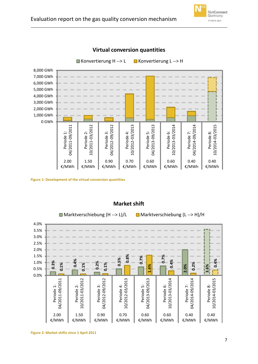



**Virtual conversion quantities**

<span id="page-7-0"></span>**Figure 1: Development of the virtual conversion quantities**



### **Market shift**

<span id="page-7-1"></span>**Figure 2: Market shifts since 1 April 2011**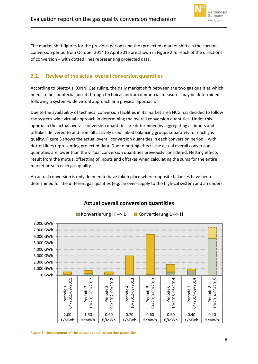

The market shift figures for the previous periods and the (projected) market shifts in the current conversion period from October 2014 to April 2015 are shown in [Figure 2](#page-7-1) for each of the directions of conversion – with dotted lines representing projected data.

### <span id="page-8-0"></span>**2.2. Review of the actual overall conversion quantities**

According to BNetzA's KONNI Gas ruling, the daily market shift between the two gas qualities which needs to be counterbalanced through technical and/or commercial measures may be determined following a system-wide virtual approach or a physical approach.

Due to the availability of technical conversion facilities in its market area NCG has decided to follow the system-wide virtual approach in determining the overall conversion quantities. Under this approach the actual overall conversion quantities are determined by aggregating all inputs and offtakes delivered to and from all actively used linked balancing groups separately for each gas quality[. Figure 3](#page-8-1) shows the actual overall conversion quantities in each conversion period – with dotted lines representing projected data. Due to netting effects the actual overall conversion quantities are lower than the virtual conversion quantities previously considered. Netting effects result from the mutual offsetting of inputs and offtakes when calculating the sums for the entire market area in each gas quality.

An actual conversion is only deemed to have taken place where opposite balances have been determined for the different gas qualities (e.g. an over-supply to the high-cal system and an under-



# **Actual overall conversion quantities**

<span id="page-8-1"></span>**Figure 3: Development of the actual overall conversion quantities**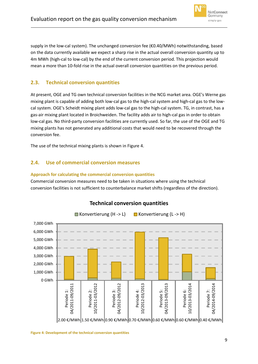

supply in the low-cal system). The unchanged conversion fee ( $\epsilon$ 0.40/MWh) notwithstanding, based on the data currently available we expect a sharp rise in the actual overall conversion quantity up to 4m MWh (high-cal to low-cal) by the end of the current conversion period. This projection would mean a more than 10-fold rise in the actual overall conversion quantities on the previous period.

### <span id="page-9-0"></span>**2.3. Technical conversion quantities**

At present, OGE and TG own technical conversion facilities in the NCG market area. OGE's Werne gas mixing plant is capable of adding both low-cal gas to the high-cal system and high-cal gas to the lowcal system. OGE's Scheidt mixing plant adds low-cal gas to the high-cal system. TG, in contrast, has a gas-air mixing plant located in Broichweiden. The facility adds air to high-cal gas in order to obtain low-cal gas. No third-party conversion facilities are currently used. So far, the use of the OGE and TG mixing plants has not generated any additional costs that would need to be recovered through the conversion fee.

The use of the technical mixing plants is shown in [Figure 4.](#page-9-3)

### <span id="page-9-1"></span>**2.4. Use of commercial conversion measures**

### <span id="page-9-2"></span>**Approach for calculating the commercial conversion quantities**

Commercial conversion measures need to be taken in situations where using the technical conversion facilities is not sufficient to counterbalance market shifts (regardless of the direction).

<span id="page-9-3"></span>

## **Technical conversion quantities**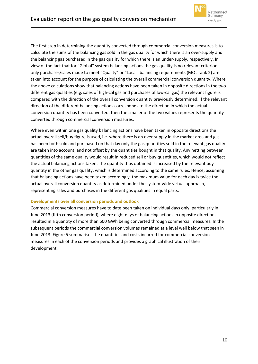

The first step in determining the quantity converted through commercial conversion measures is to calculate the sums of the balancing gas sold in the gas quality for which there is an over-supply and the balancing gas purchased in the gas quality for which there is an under-supply, respectively. In view of the fact that for "Global" system balancing actions the gas quality is no relevant criterion, only purchases/sales made to meet "Quality" or "Local" balancing requirements (MOL rank 2) are taken into account for the purpose of calculating the overall commercial conversion quantity. Where the above calculations show that balancing actions have been taken in opposite directions in the two different gas qualities (e.g. sales of high-cal gas and purchases of low-cal gas) the relevant figure is compared with the direction of the overall conversion quantity previously determined. If the relevant direction of the different balancing actions corresponds to the direction in which the actual conversion quantity has been converted, then the smaller of the two values represents the quantity converted through commercial conversion measures.

Where even within one gas quality balancing actions have been taken in opposite directions the actual overall sell/buy figure is used, i.e. where there is an over-supply in the market area and gas has been both sold and purchased on that day only the gas quantities sold in the relevant gas quality are taken into account, and not offset by the quantities bought in that quality. Any netting between quantities of the same quality would result in reduced sell or buy quantities, which would not reflect the actual balancing actions taken. The quantity thus obtained is increased by the relevant buy quantity in the other gas quality, which is determined according to the same rules. Hence, assuming that balancing actions have been taken accordingly, the maximum value for each day is twice the actual overall conversion quantity as determined under the system-wide virtual approach, representing sales and purchases in the different gas qualities in equal parts.

### <span id="page-10-0"></span>**Developments over all conversion periods and outlook**

Commercial conversion measures have to date been taken on individual days only, particularly in June 2013 (fifth conversion period), where eight days of balancing actions in opposite directions resulted in a quantity of more than 600 GWh being converted through commercial measures. In the subsequent periods the commercial conversion volumes remained at a level well below that seen in June 2013[. Figure 5](#page-11-1) summarises the quantities and costs incurred for commercial conversion measures in each of the conversion periods and provides a graphical illustration of their development.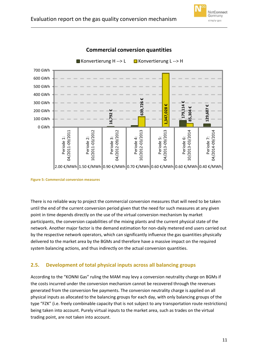



**Commercial conversion quantities**

<span id="page-11-1"></span>**Figure 5: Commercial conversion measures**

There is no reliable way to project the commercial conversion measures that will need to be taken until the end of the current conversion period given that the need for such measures at any given point in time depends directly on the use of the virtual conversion mechanism by market participants, the conversion capabilities of the mixing plants and the current physical state of the network. Another major factor is the demand estimation for non-daily metered end users carried out by the respective network operators, which can significantly influence the gas quantities physically delivered to the market area by the BGMs and therefore have a massive impact on the required system balancing actions, and thus indirectly on the actual conversion quantities.

### <span id="page-11-0"></span>**2.5. Development of total physical inputs across all balancing groups**

According to the "KONNI Gas" ruling the MAM may levy a conversion neutrality charge on BGMs if the costs incurred under the conversion mechanism cannot be recovered through the revenues generated from the conversion fee payments. The conversion neutrality charge is applied on all physical inputs as allocated to the balancing groups for each day, with only balancing groups of the type "FZK" (i.e. freely combinable capacity that is not subject to any transportation route restrictions) being taken into account. Purely virtual inputs to the market area, such as trades on the virtual trading point, are not taken into account.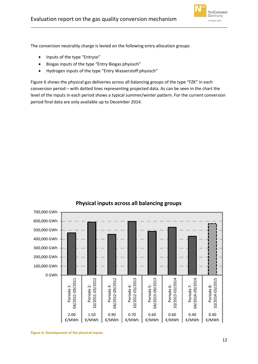

The conversion neutrality charge is levied on the following entry allocation groups:

- Inputs of the type "Entryso"
- Biogas inputs of the type "Entry Biogas physisch"
- Hydrogen inputs of the type "Entry Wasserstoff physisch"

[Figure 6](#page-12-0) shows the physical gas deliveries across all balancing groups of the type "FZK" in each conversion period – with dotted lines representing projected data. As can be seen in the chart the level of the inputs in each period shows a typical summer/winter pattern. For the current conversion period final data are only available up to December 2014.



## **Physical inputs across all balancing groups**

<span id="page-12-0"></span>**Figure 6: Development of the physical inputs**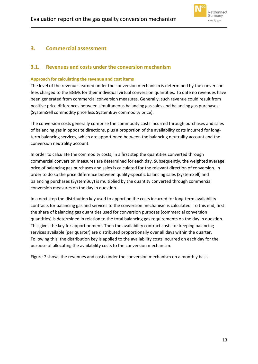

### <span id="page-13-0"></span>**3. Commercial assessment**

### <span id="page-13-1"></span>**3.1. Revenues and costs under the conversion mechanism**

#### <span id="page-13-2"></span>**Approach for calculating the revenue and cost items**

The level of the revenues earned under the conversion mechanism is determined by the conversion fees charged to the BGMs for their individual virtual conversion quantities. To date no revenues have been generated from commercial conversion measures. Generally, such revenue could result from positive price differences between simultaneous balancing gas sales and balancing gas purchases (SystemSell commodity price less SystemBuy commodity price).

The conversion costs generally comprise the commodity costs incurred through purchases and sales of balancing gas in opposite directions, plus a proportion of the availability costs incurred for longterm balancing services, which are apportioned between the balancing neutrality account and the conversion neutrality account.

In order to calculate the commodity costs, in a first step the quantities converted through commercial conversion measures are determined for each day. Subsequently, the weighted average price of balancing gas purchases and sales is calculated for the relevant direction of conversion. In order to do so the price difference between quality-specific balancing sales (SystemSell) and balancing purchases (SystemBuy) is multiplied by the quantity converted through commercial conversion measures on the day in question.

In a next step the distribution key used to apportion the costs incurred for long-term availability contracts for balancing gas and services to the conversion mechanism is calculated. To this end, first the share of balancing gas quantities used for conversion purposes (commercial conversion quantities) is determined in relation to the total balancing gas requirements on the day in question. This gives the key for apportionment. Then the availability contract costs for keeping balancing services available (per quarter) are distributed proportionally over all days within the quarter. Following this, the distribution key is applied to the availability costs incurred on each day for the purpose of allocating the availability costs to the conversion mechanism.

[Figure 7](#page-14-1) shows the revenues and costs under the conversion mechanism on a monthly basis.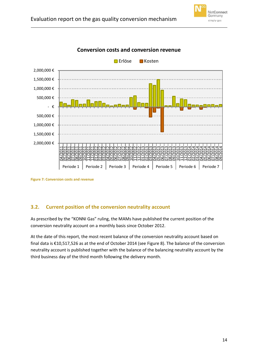



**Conversion costs and conversion revenue**

### <span id="page-14-0"></span>**3.2. Current position of the conversion neutrality account**

As prescribed by the "KONNI Gas" ruling, the MAMs have published the current position of the conversion neutrality account on a monthly basis since October 2012.

At the date of this report, the most recent balance of the conversion neutrality account based on final data is €10,517,526 as at the end of October 2014 (see [Figure 8\)](#page-15-0). The balance of the conversion neutrality account is published together with the balance of the balancing neutrality account by the third business day of the third month following the delivery month.

<span id="page-14-1"></span>**Figure 7: Conversion costs and revenue**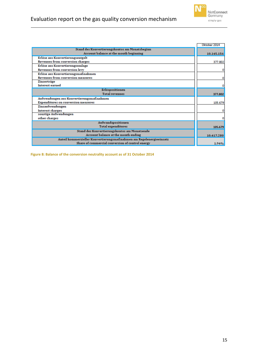

|                                                                     | Oktober 2014 |
|---------------------------------------------------------------------|--------------|
| Stand des Konvertierungskontos am Monatsbeginn                      |              |
| Account balance at the month beginning                              | 10.145.156   |
| Erlöse aus Konvertierungsentgelt                                    |              |
| Revenues from conversion charges                                    | 377.802      |
| Erlöse aus Konvertierungsumlage                                     |              |
| Revenues from conversion levy                                       | ٥            |
| Erlöse aus Konvertierungsmaßnahmen                                  |              |
| <b>Revenues from conversion measures</b>                            | ٥            |
| Zinserträge                                                         |              |
| Interest earned                                                     | ٥            |
| Erlöspositionen                                                     |              |
| <b>Total revenues</b>                                               | 377.802      |
| Aufwendungen aus Konvertierungsmaßnahmen                            |              |
| <b>Expenditures on conversion measures</b>                          | 105.679      |
| Zinsaufwendungen                                                    |              |
| Interest charges                                                    | ٥            |
| sonstige Aufwendungen                                               |              |
| other charges                                                       | ٥            |
| Aufwandspositionen                                                  |              |
| <b>Total expenditures</b>                                           | 105.679      |
| Stand des Konvertierungskontos am Monatsende                        |              |
| Account balance at the month ending                                 | 10.417.280   |
| Anteil kommerzieller Konvertierungsmaßnahmen am Regelenergieeinsatz |              |
| Share of commercial conversion of control energy                    | 1.94%        |

<span id="page-15-0"></span>**Figure 8: Balance of the conversion neutrality account as of 31 October 2014**